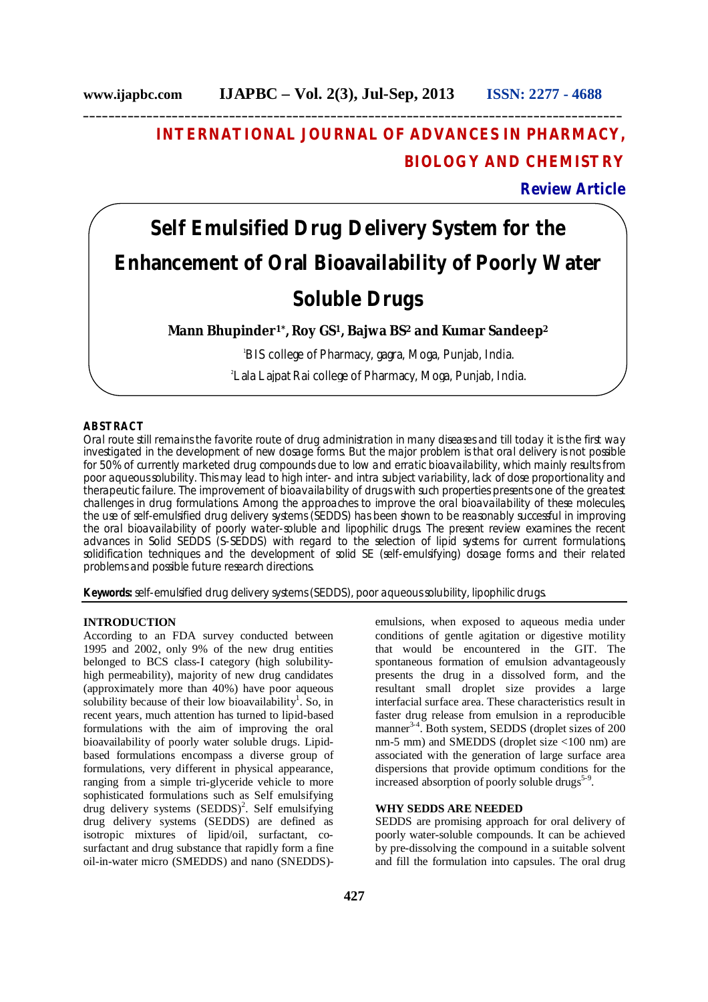## **INTERNATIONAL JOURNAL OF ADVANCES IN PHARMACY, BIOLOGY AND CHEMISTRY**

### **Review Article**

# **Self Emulsified Drug Delivery System for the Enhancement of Oral Bioavailability of Poorly Water Soluble Drugs**

#### **Mann Bhupinder1\*, Roy GS<sup>1</sup>, Bajwa BS<sup>2</sup> and Kumar Sandeep<sup>2</sup>**

<sup>1</sup>BIS college of Pharmacy, gagra, Moga, Punjab, India.

2 Lala Lajpat Rai college of Pharmacy, Moga, Punjab, India.

#### **ABSTRACT**

Oral route still remains the favorite route of drug administration in many diseases and till today it is the first way investigated in the development of new dosage forms. But the major problem is that oral delivery is not possible for 50% of currently marketed drug compounds due to low and erratic bioavailability, which mainly results from poor aqueous solubility. This may lead to high inter- and intra subject variability, lack of dose proportionality and therapeutic failure. The improvement of bioavailability of drugs with such properties presents one of the greatest challenges in drug formulations. Among the approaches to improve the oral bioavailability of these molecules, the use of self-emulsified drug delivery systems (SEDDS) has been shown to be reasonably successful in improving the oral bioavailability of poorly water-soluble and lipophilic drugs. The present review examines the recent advances in Solid SEDDS (S-SEDDS) with regard to the selection of lipid systems for current formulations, solidification techniques and the development of solid SE (self-emulsifying) dosage forms and their related problems and possible future research directions.

**Keywords:** self-emulsified drug delivery systems (SEDDS), poor aqueous solubility, lipophilic drugs.

#### **INTRODUCTION**

According to an FDA survey conducted between 1995 and 2002, only 9% of the new drug entities belonged to BCS class-I category (high solubilityhigh permeability), majority of new drug candidates (approximately more than 40%) have poor aqueous solubility because of their low bioavailability<sup>1</sup>. So, in recent years, much attention has turned to lipid-based formulations with the aim of improving the oral bioavailability of poorly water soluble drugs. Lipidbased formulations encompass a diverse group of formulations, very different in physical appearance, ranging from a simple tri-glyceride vehicle to more sophisticated formulations such as Self emulsifying drug delivery systems  $(SEDDS)^2$ . Self emulsifying drug delivery systems (SEDDS) are defined as isotropic mixtures of lipid/oil, surfactant, cosurfactant and drug substance that rapidly form a fine oil-in-water micro (SMEDDS) and nano (SNEDDS)-

emulsions, when exposed to aqueous media under conditions of gentle agitation or digestive motility that would be encountered in the GIT. The spontaneous formation of emulsion advantageously presents the drug in a dissolved form, and the resultant small droplet size provides a large interfacial surface area. These characteristics result in faster drug release from emulsion in a reproducible manner<sup>3-4</sup>. Both system, SEDDS (droplet sizes of 200 nm-5 mm) and SMEDDS (droplet size <100 nm) are associated with the generation of large surface area dispersions that provide optimum conditions for the increased absorption of poorly soluble drugs<sup>5-9</sup>.

#### **WHY SEDDS ARE NEEDED**

SEDDS are promising approach for oral delivery of poorly water-soluble compounds. It can be achieved by pre-dissolving the compound in a suitable solvent and fill the formulation into capsules. The oral drug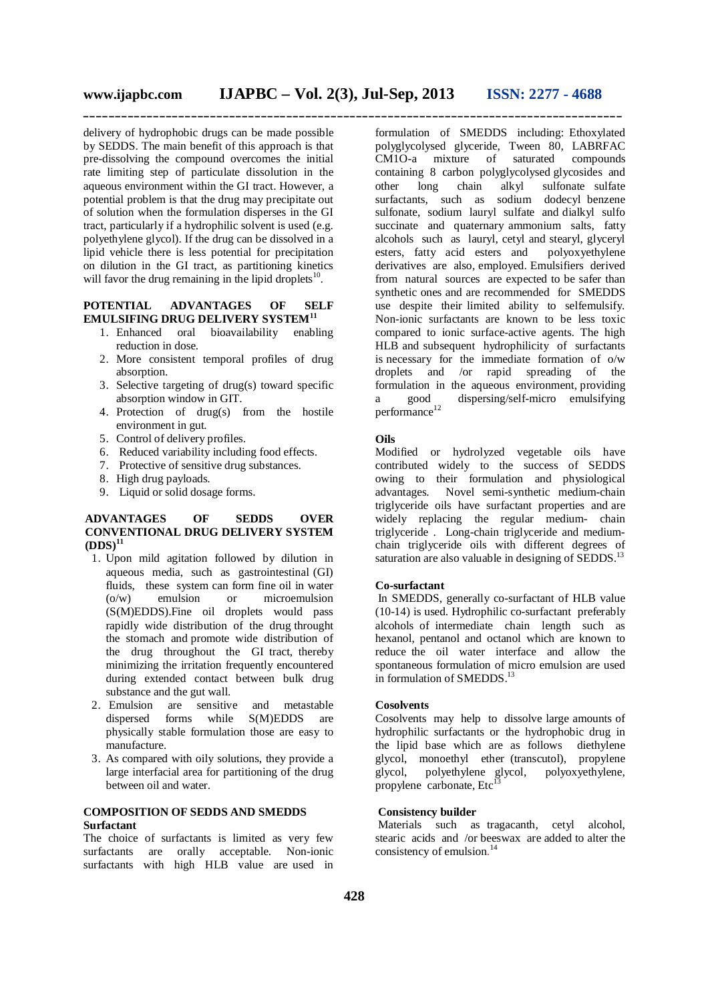delivery of hydrophobic drugs can be made possible by SEDDS. The main benefit of this approach is that pre-dissolving the compound overcomes the initial rate limiting step of particulate dissolution in the aqueous environment within the GI tract. However, a potential problem is that the drug may precipitate out of solution when the formulation disperses in the GI tract, particularly if a hydrophilic solvent is used (e.g. polyethylene glycol). If the drug can be dissolved in a lipid vehicle there is less potential for precipitation on dilution in the GI tract, as partitioning kinetics will favor the drug remaining in the lipid droplets<sup>10</sup>.

#### **POTENTIAL ADVANTAGES OF SELF EMULSIFING DRUG DELIVERY SYSTEM<sup>11</sup>**

- 1. Enhanced oral bioavailability enabling reduction in dose.
- 2. More consistent temporal profiles of drug absorption.
- 3. Selective targeting of drug(s) toward specific absorption window in GIT.
- 4. Protection of drug(s) from the hostile environment in gut.
- 5. Control of delivery profiles.
- 6. Reduced variability including food effects.
- 7. Protective of sensitive drug substances.
- 8. High drug payloads.
- 9. Liquid or solid dosage forms.

#### **ADVANTAGES OF SEDDS OVER CONVENTIONAL DRUG DELIVERY SYSTEM (DDS)<sup>11</sup>**

- 1. Upon mild agitation followed by dilution in aqueous media, such as gastrointestinal (GI) fluids, these system can form fine oil in water (o/w) emulsion or microemulsion (S(M)EDDS).Fine oil droplets would pass rapidly wide distribution of the drug throught the stomach and promote wide distribution of the drug throughout the GI tract, thereby minimizing the irritation frequently encountered during extended contact between bulk drug substance and the gut wall.
- 2. Emulsion are sensitive and metastable dispersed forms while S(M)EDDS are physically stable formulation those are easy to manufacture.
- 3. As compared with oily solutions, they provide a large interfacial area for partitioning of the drug between oil and water.

#### **COMPOSITION OF SEDDS AND SMEDDS Surfactant**

The choice of surfactants is limited as very few surfactants are orally acceptable. Non-ionic surfactants with high HLB value are used in

formulation of SMEDDS including: Ethoxylated polyglycolysed glyceride, Tween 80, LABRFAC CM1O-a mixture of saturated compounds containing 8 carbon polyglycolysed glycosides and other long chain alkyl sulfonate sulfate surfactants, such as sodium dodecyl benzene sulfonate, sodium lauryl sulfate and dialkyl sulfo succinate and quaternary ammonium salts, fatty alcohols such as lauryl, cetyl and stearyl, glyceryl esters, fatty acid esters and polyoxyethylene derivatives are also, employed. Emulsifiers derived from natural sources are expected to be safer than synthetic ones and are recommended for SMEDDS use despite their limited ability to selfemulsify. Non-ionic surfactants are known to be less toxic compared to ionic surface-active agents. The high HLB and subsequent hydrophilicity of surfactants is necessary for the immediate formation of o/w droplets and /or rapid spreading of the formulation in the aqueous environment, providing<br>a good dispersing/self-micro emulsifying a good dispersing/self-micro emulsifying performance 12

#### **Oils**

Modified or hydrolyzed vegetable oils have contributed widely to the success of SEDDS owing to their formulation and physiological advantages. Novel semi-synthetic medium-chain triglyceride oils have surfactant properties and are widely replacing the regular medium- chain triglyceride . Long-chain triglyceride and mediumchain triglyceride oils with different degrees of saturation are also valuable in designing of SEDDS.<sup>13</sup>

#### **Co-surfactant**

In SMEDDS, generally co-surfactant of HLB value (10-14) is used. Hydrophilic co-surfactant preferably alcohols of intermediate chain length such as hexanol, pentanol and octanol which are known to reduce the oil water interface and allow the spontaneous formulation of micro emulsion are used in formulation of SMEDDS.<sup>13</sup>

#### **Cosolvents**

Cosolvents may help to dissolve large amounts of hydrophilic surfactants or the hydrophobic drug in the lipid base which are as follows diethylene glycol, monoethyl ether (transcutol), propylene glycol, polyethylene glycol, polyoxyethylene, propylene carbonate, Etc

#### **Consistency builder**

Materials such as tragacanth, cetyl alcohol, stearic acids and /or beeswax are added to alter the consistency of emulsion. 14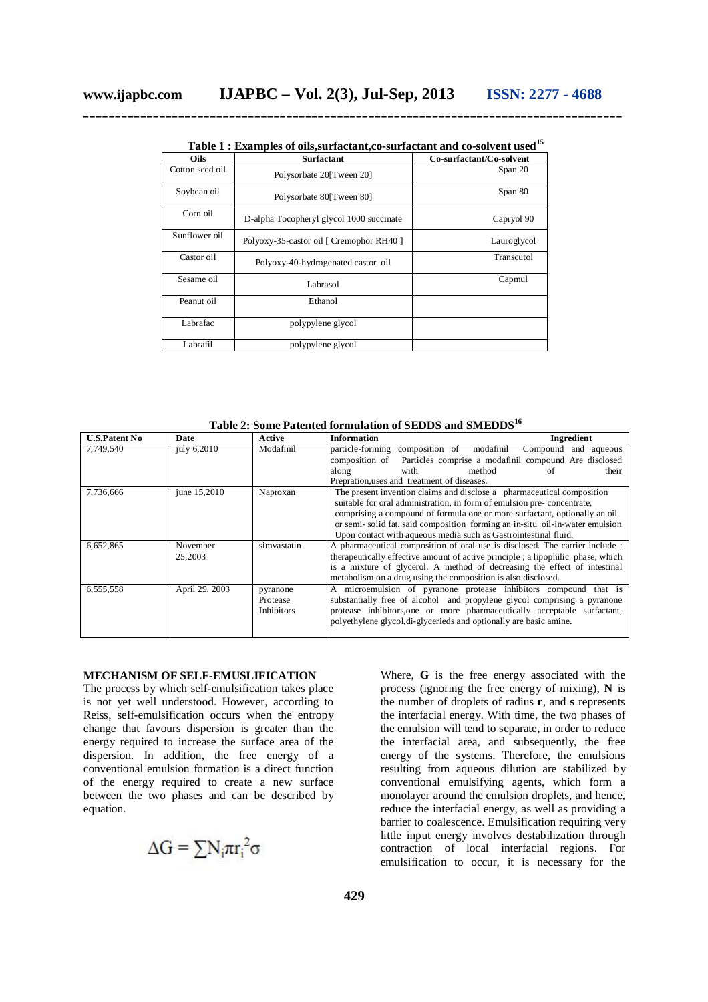|  | Table 1 : Examples of oils, surfactant, co-surfactant and co-solvent used <sup>15</sup> |  |  |
|--|-----------------------------------------------------------------------------------------|--|--|
|--|-----------------------------------------------------------------------------------------|--|--|

| Oils            | Surfactant                               | Co-surfactant/Co-solvent |
|-----------------|------------------------------------------|--------------------------|
| Cotton seed oil | Polysorbate 20 Tween 20                  | Span 20                  |
| Soybean oil     | Polysorbate 80 Tween 80                  | Span 80                  |
| Corn oil        | D-alpha Tocopheryl glycol 1000 succinate | Capryol 90               |
| Sunflower oil   | Polyoxy-35-castor oil [ Cremophor RH40 ] | Lauroglycol              |
| Castor oil      | Polyoxy-40-hydrogenated castor oil       | Transcutol               |
| Sesame oil      | Labrasol                                 | Capmul                   |
| Peanut oil      | Ethanol                                  |                          |
| Labrafac        | polypylene glycol                        |                          |
| Labrafil        | polypylene glycol                        |                          |

**Table 2: Some Patented formulation of SEDDS and SMEDDS<sup>16</sup>**

| <b>U.S.Patent No</b> | Date           | Active      | <b>Information</b><br>Ingredient                                                |  |  |
|----------------------|----------------|-------------|---------------------------------------------------------------------------------|--|--|
| 7,749,540            | july 6,2010    | Modafinil   | composition of<br>modafinil<br>particle-forming<br>Compound and aqueous         |  |  |
|                      |                |             | composition of Particles comprise a modafinil compound Are disclosed            |  |  |
|                      |                |             | method<br>with<br>their<br>along<br>of                                          |  |  |
|                      |                |             | Prepration, uses and treatment of diseases.                                     |  |  |
| 7,736,666            | june 15,2010   | Naproxan    | The present invention claims and disclose a pharmaceutical composition          |  |  |
|                      |                |             | suitable for oral administration, in form of emulsion pre-concentrate,          |  |  |
|                      |                |             | comprising a compound of formula one or more surfactant, optionally an oil      |  |  |
|                      |                |             | or semi-solid fat, said composition forming an in-situ oil-in-water emulsion    |  |  |
|                      |                |             | Upon contact with aqueous media such as Gastrointestinal fluid.                 |  |  |
| 6,652,865            | November       | simvastatin | A pharmaceutical composition of oral use is disclosed. The carrier include :    |  |  |
|                      | 25,2003        |             | therapeutically effective amount of active principle; a lipophilic phase, which |  |  |
|                      |                |             | is a mixture of glycerol. A method of decreasing the effect of intestinal       |  |  |
|                      |                |             | metabolism on a drug using the composition is also disclosed.                   |  |  |
| 6,555,558            | April 29, 2003 | pyranone    | A microemulsion of pyranone protease inhibitors compound that is                |  |  |
|                      |                | Protease    | substantially free of alcohol and propylene glycol comprising a pyranone        |  |  |
|                      |                | Inhibitors  | protease inhibitors, one or more pharmaceutically acceptable surfactant,        |  |  |
|                      |                |             | polyethylene glycol, di-glycerieds and optionally are basic amine.              |  |  |
|                      |                |             |                                                                                 |  |  |

#### **MECHANISM OF SELF-EMUSLIFICATION**

The process by which self-emulsification takes place is not yet well understood. However, according to Reiss, self-emulsification occurs when the entropy change that favours dispersion is greater than the energy required to increase the surface area of the dispersion. In addition, the free energy of a conventional emulsion formation is a direct function of the energy required to create a new surface between the two phases and can be described by equation.

$$
\Delta G = \sum N_i \pi r_i^2 \sigma
$$

Where, **G** is the free energy associated with the process (ignoring the free energy of mixing), **N** is the number of droplets of radius **r**, and **s** represents the interfacial energy. With time, the two phases of the emulsion will tend to separate, in order to reduce the interfacial area, and subsequently, the free energy of the systems. Therefore, the emulsions resulting from aqueous dilution are stabilized by conventional emulsifying agents, which form a monolayer around the emulsion droplets, and hence, reduce the interfacial energy, as well as providing a barrier to coalescence. Emulsification requiring very little input energy involves destabilization through contraction of local interfacial regions. For emulsification to occur, it is necessary for the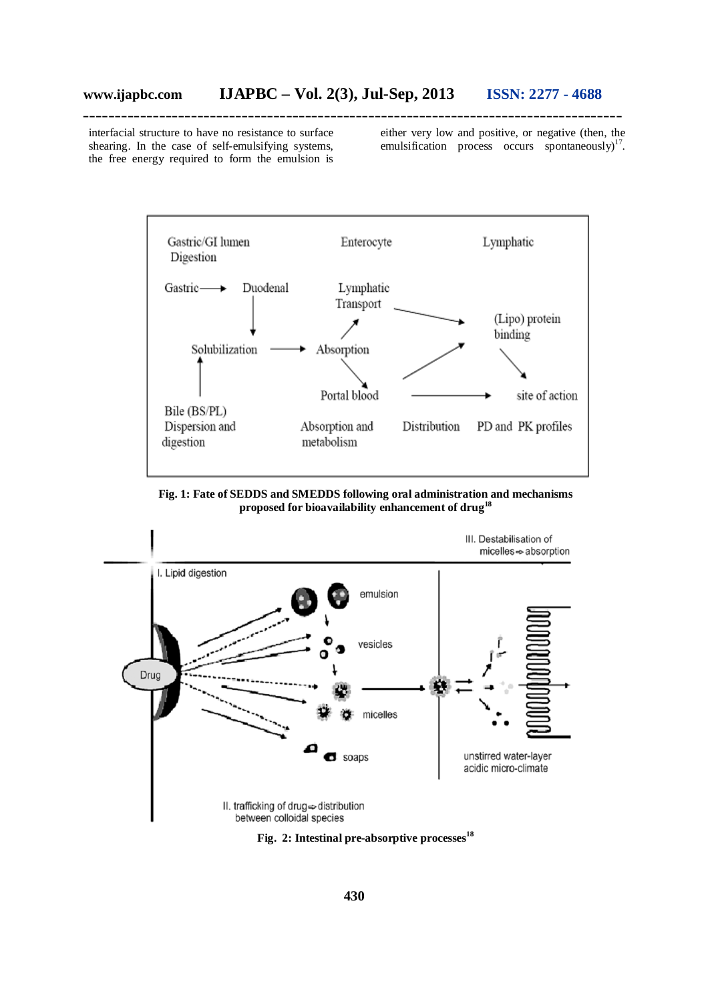interfacial structure to have no resistance to surface shearing. In the case of self-emulsifying systems, the free energy required to form the emulsion is either very low and positive, or negative (then, the emulsification process occurs spontaneously) $17$ .



**Fig. 1: Fate of SEDDS and SMEDDS following oral administration and mechanisms proposed for bioavailability enhancement of drug<sup>18</sup>**



**Fig. 2: Intestinal pre-absorptive processes<sup>18</sup>**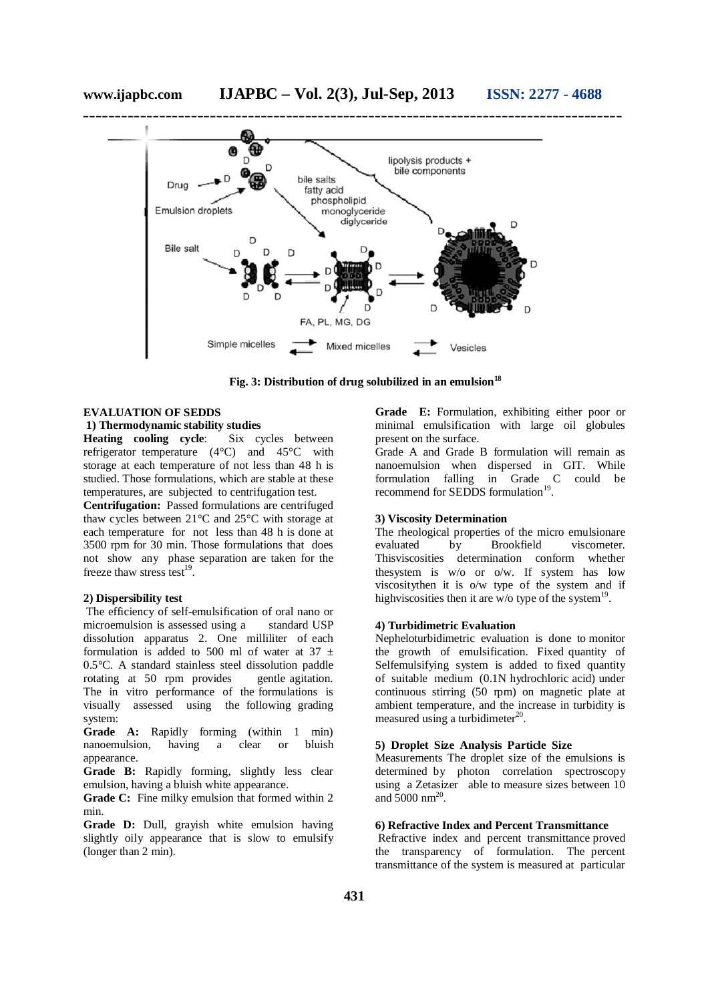

**Fig. 3: Distribution of drug solubilized in an emulsion<sup>18</sup>**

#### **EVALUATION OF SEDDS**

**1) Thermodynamic stability studies<br>
<b>Heating** cooling cycle: Six cycles between **Heating cooling cycle:** refrigerator temperature (4°C) and 45°C with storage at each temperature of not less than 48 h is studied. Those formulations, which are stable at these temperatures, are subjected to centrifugation test.

**Centrifugation:** Passed formulations are centrifuged thaw cycles between 21°C and 25°C with storage at each temperature for not less than 48 h is done at 3500 rpm for 30 min. Those formulations that does not show any phase separation are taken for the freeze thaw stress test<sup>19</sup>.

#### **2) Dispersibility test**

The efficiency of self-emulsification of oral nano or microemulsion is assessed using a standard USP dissolution apparatus 2. One milliliter of each formulation is added to 500 ml of water at 37  $\pm$ 0.5°C. A standard stainless steel dissolution paddle rotating at 50 rpm provides gentle agitation. The in vitro performance of the formulations is visually assessed using the following grading system:

**Grade A:** Rapidly forming (within 1 min) nanoemulsion, having a clear or bluish appearance.

**Grade B:** Rapidly forming, slightly less clear emulsion, having a bluish white appearance.

**Grade C:** Fine milky emulsion that formed within 2 min.

**Grade D:** Dull, grayish white emulsion having slightly oily appearance that is slow to emulsify (longer than 2 min).

**Grade E:** Formulation, exhibiting either poor or minimal emulsification with large oil globules present on the surface.

Grade A and Grade B formulation will remain as nanoemulsion when dispersed in GIT. While formulation falling in Grade C could be recommend for SEDDS formulation<sup>19</sup>.

#### **3) Viscosity Determination**

The rheological properties of the micro emulsionare<br>evaluated by Brookfield viscometer. evaluated by Brookfield viscometer. Thisviscosities determination conform whether thesystem is w/o or o/w. If system has low viscositythen it is o/w type of the system and if highviscosities then it are w/o type of the system<sup>19</sup>.

#### **4) Turbidimetric Evaluation**

Nepheloturbidimetric evaluation is done to monitor the growth of emulsification. Fixed quantity of Selfemulsifying system is added to fixed quantity of suitable medium (0.1N hydrochloric acid) under continuous stirring (50 rpm) on magnetic plate at ambient temperature, and the increase in turbidity is measured using a turbidimeter $^{20}$ .

#### **5) Droplet Size Analysis Particle Size**

Measurements The droplet size of the emulsions is determined by photon correlation spectroscopy using a Zetasizer able to measure sizes between 10 and  $5000 \text{ nm}^{20}$ .

#### **6) Refractive Index and Percent Transmittance**

Refractive index and percent transmittance proved the transparency of formulation. The percent transmittance of the system is measured at particular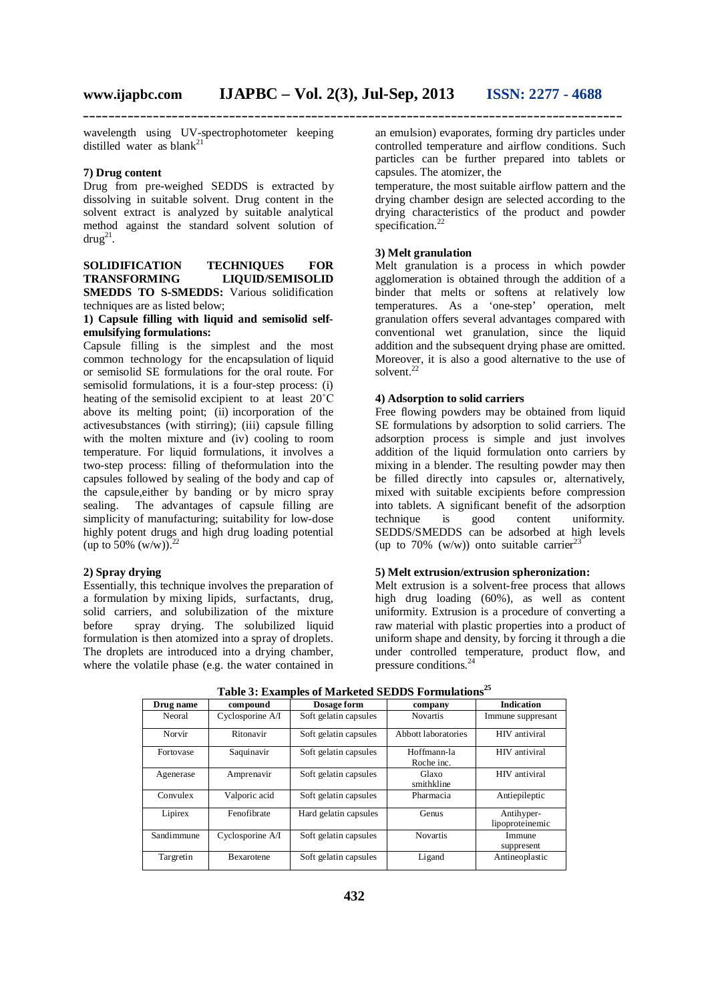wavelength using UV-spectrophotometer keeping distilled water as  $blank^{21}$ 

#### **7) Drug content**

Drug from pre-weighed SEDDS is extracted by dissolving in suitable solvent. Drug content in the solvent extract is analyzed by suitable analytical method against the standard solvent solution of  $d$ rug<sup>21</sup>.

**SOLIDIFICATION TECHNIQUES FOR TRANSFORMING LIOUID/SEMISOLID** LIQUID/SEMISOLID **SMEDDS TO S-SMEDDS:** Various solidification techniques are as listed below;

#### **1) Capsule filling with liquid and semisolid selfemulsifying formulations:**

Capsule filling is the simplest and the most common technology for the encapsulation of liquid or semisolid SE formulations for the oral route. For semisolid formulations, it is a four-step process: (i) heating of the semisolid excipient to at least 20˚C above its melting point; (ii) incorporation of the activesubstances (with stirring); (iii) capsule filling with the molten mixture and (iv) cooling to room temperature. For liquid formulations, it involves a two-step process: filling of theformulation into the capsules followed by sealing of the body and cap of the capsule,either by banding or by micro spray sealing. The advantages of capsule filling are simplicity of manufacturing; suitability for low-dose highly potent drugs and high drug loading potential (up to 50% (w/w)).  $^{22}$ 

#### **2) Spray drying**

Essentially, this technique involves the preparation of a formulation by mixing lipids, surfactants, drug, solid carriers, and solubilization of the mixture before spray drying. The solubilized liquid formulation is then atomized into a spray of droplets. The droplets are introduced into a drying chamber, where the volatile phase (e.g. the water contained in

an emulsion) evaporates, forming dry particles under controlled temperature and airflow conditions. Such particles can be further prepared into tablets or capsules. The atomizer, the

temperature, the most suitable airflow pattern and the drying chamber design are selected according to the drying characteristics of the product and powder specification.<sup>22</sup>

#### **3) Melt granulation**

Melt granulation is a process in which powder agglomeration is obtained through the addition of a binder that melts or softens at relatively low temperatures. As a 'one-step' operation, melt granulation offers several advantages compared with conventional wet granulation, since the liquid addition and the subsequent drying phase are omitted. Moreover, it is also a good alternative to the use of solvent.<sup>22</sup>

#### **4) Adsorption to solid carriers**

Free flowing powders may be obtained from liquid SE formulations by adsorption to solid carriers. The adsorption process is simple and just involves addition of the liquid formulation onto carriers by mixing in a blender. The resulting powder may then be filled directly into capsules or, alternatively, mixed with suitable excipients before compression into tablets. A significant benefit of the adsorption technique is good content uniformity. SEDDS/SMEDDS can be adsorbed at high levels (up to 70% (w/w)) onto suitable carrier<sup>23</sup>

#### **5) Melt extrusion/extrusion spheronization:**

Melt extrusion is a solvent-free process that allows high drug loading (60%), as well as content uniformity. Extrusion is a procedure of converting a raw material with plastic properties into a product of uniform shape and density, by forcing it through a die under controlled temperature, product flow, and pressure conditions.<sup>24</sup>

| Drug name  | compound          | Dosage form           | company                   | <b>Indication</b>             |
|------------|-------------------|-----------------------|---------------------------|-------------------------------|
| Neoral     | Cyclosporine A/I  | Soft gelatin capsules | <b>Novartis</b>           | Immune suppresant             |
| Norvir     | Ritonavir         | Soft gelatin capsules | Abbott laboratories       | HIV antiviral                 |
| Fortovase  | Saquinavir        | Soft gelatin capsules | Hoffmann-la<br>Roche inc. | HIV antiviral                 |
| Agenerase  | Amprenavir        | Soft gelatin capsules | Glaxo<br>smithkline       | HIV antiviral                 |
| Convulex   | Valporic acid     | Soft gelatin capsules | Pharmacia                 | Antiepileptic                 |
| Lipirex    | Fenofibrate       | Hard gelatin capsules | Genus                     | Antihyper-<br>lipoproteinemic |
| Sandimmune | Cyclosporine A/I  | Soft gelatin capsules | <b>Novartis</b>           | Immune<br>suppresent          |
| Targretin  | <b>Bexarotene</b> | Soft gelatin capsules | Ligand                    | Antineoplastic                |

**Table 3: Examples of Marketed SEDDS Formulations<sup>25</sup>**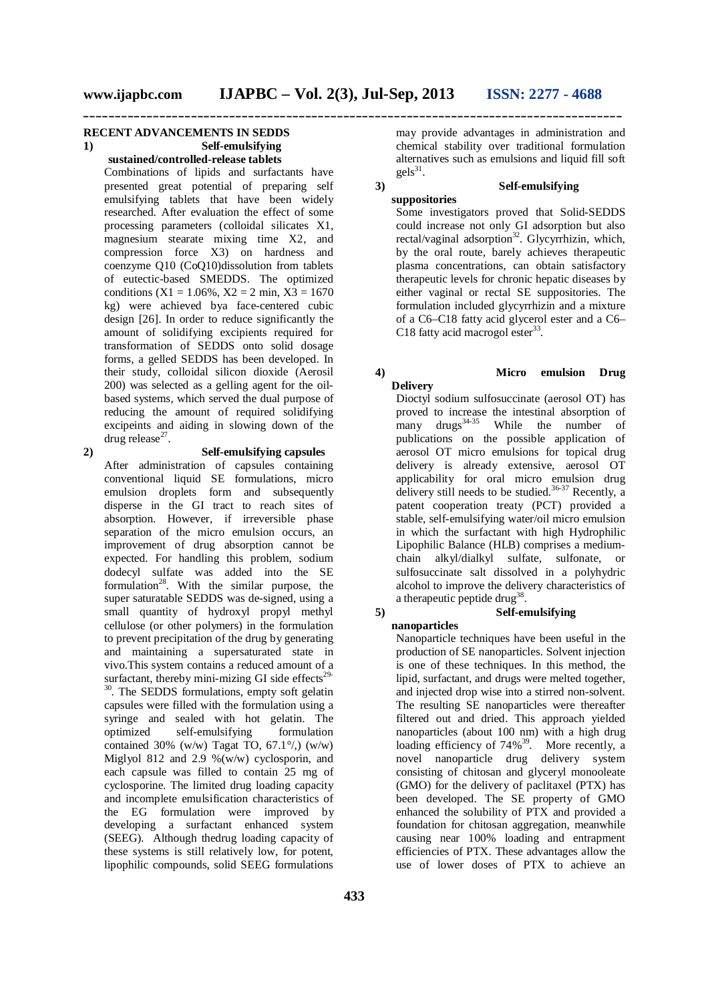#### **RECENT ADVANCEMENTS IN SEDDS 1) Self-emulsifying**

**sustained/controlled-release tablets**

Combinations of lipids and surfactants have presented great potential of preparing self emulsifying tablets that have been widely researched. After evaluation the effect of some processing parameters (colloidal silicates X1, magnesium stearate mixing time X2, and compression force X3) on hardness and coenzyme Q10 (CoQ10)dissolution from tablets of eutectic-based SMEDDS. The optimized conditions (X1 = 1.06%, X2 = 2 min, X3 = 1670 kg) were achieved bya face-centered cubic design [26]. In order to reduce significantly the amount of solidifying excipients required for transformation of SEDDS onto solid dosage forms, a gelled SEDDS has been developed. In their study, colloidal silicon dioxide (Aerosil 200) was selected as a gelling agent for the oilbased systems, which served the dual purpose of reducing the amount of required solidifying excipeints and aiding in slowing down of the drug release $^{27}$ .

#### **2) Self-emulsifying capsules**

After administration of capsules containing conventional liquid SE formulations, micro emulsion droplets form and subsequently disperse in the GI tract to reach sites of absorption. However, if irreversible phase separation of the micro emulsion occurs, an improvement of drug absorption cannot be expected. For handling this problem, sodium dodecyl sulfate was added into the SE formulation<sup>28</sup>. With the similar purpose, the super saturatable SEDDS was de-signed, using a small quantity of hydroxyl propyl methyl cellulose (or other polymers) in the formulation to prevent precipitation of the drug by generating and maintaining a supersaturated state in vivo.This system contains a reduced amount of a surfactant, thereby mini-mizing GI side effects $29$ -<sup>30</sup>. The SEDDS formulations, empty soft gelatin capsules were filled with the formulation using a syringe and sealed with hot gelatin. The optimized self-emulsifying formulation contained 30% (w/w) Tagat TO,  $67.1\%$ ) (w/w) Miglyol 812 and 2.9 %(w/w) cyclosporin, and each capsule was filled to contain 25 mg of cyclosporine. The limited drug loading capacity and incomplete emulsification characteristics of the EG formulation were improved by developing a surfactant enhanced system (SEEG). Although thedrug loading capacity of these systems is still relatively low, for potent, lipophilic compounds, solid SEEG formulations

may provide advantages in administration and chemical stability over traditional formulation alternatives such as emulsions and liquid fill soft  $gels<sup>31</sup>$ .

#### **3) Self-emulsifying suppositories** Some investigators proved that Solid-SEDDS could increase not only GI adsorption but also rectal/vaginal adsorption<sup>32</sup>. Glycyrrhizin, which, by the oral route, barely achieves therapeutic plasma concentrations, can obtain satisfactory therapeutic levels for chronic hepatic diseases by either vaginal or rectal SE suppositories. The formulation included glycyrrhizin and a mixture

#### **4) Micro emulsion Drug Delivery** Dioctyl sodium sulfosuccinate (aerosol OT) has

C18 fatty acid macrogol ester $33$ .

of a C6–C18 fatty acid glycerol ester and a C6–

proved to increase the intestinal absorption of  $\text{many}$  drugs<sup>34-35</sup> While the number of publications on the possible application of aerosol OT micro emulsions for topical drug delivery is already extensive, aerosol OT applicability for oral micro emulsion drug delivery still needs to be studied.<sup>36-37</sup> Recently, a patent cooperation treaty (PCT) provided a stable, self-emulsifying water/oil micro emulsion in which the surfactant with high Hydrophilic Lipophilic Balance (HLB) comprises a mediumchain alkyl/dialkyl sulfate, sulfonate, or sulfosuccinate salt dissolved in a polyhydric alcohol to improve the delivery characteristics of a therapeutic peptide drug<sup>38</sup>.

#### **5) Self-emulsifying**

**nanoparticles** 

Nanoparticle techniques have been useful in the production of SE nanoparticles. Solvent injection is one of these techniques. In this method, the lipid, surfactant, and drugs were melted together, and injected drop wise into a stirred non-solvent. The resulting SE nanoparticles were thereafter filtered out and dried. This approach yielded nanoparticles (about 100 nm) with a high drug loading efficiency of  $74\%$ <sup>39</sup>. More recently, a novel nanoparticle drug delivery system consisting of chitosan and glyceryl monooleate (GMO) for the delivery of paclitaxel (PTX) has been developed. The SE property of GMO enhanced the solubility of PTX and provided a foundation for chitosan aggregation, meanwhile causing near 100% loading and entrapment efficiencies of PTX. These advantages allow the use of lower doses of PTX to achieve an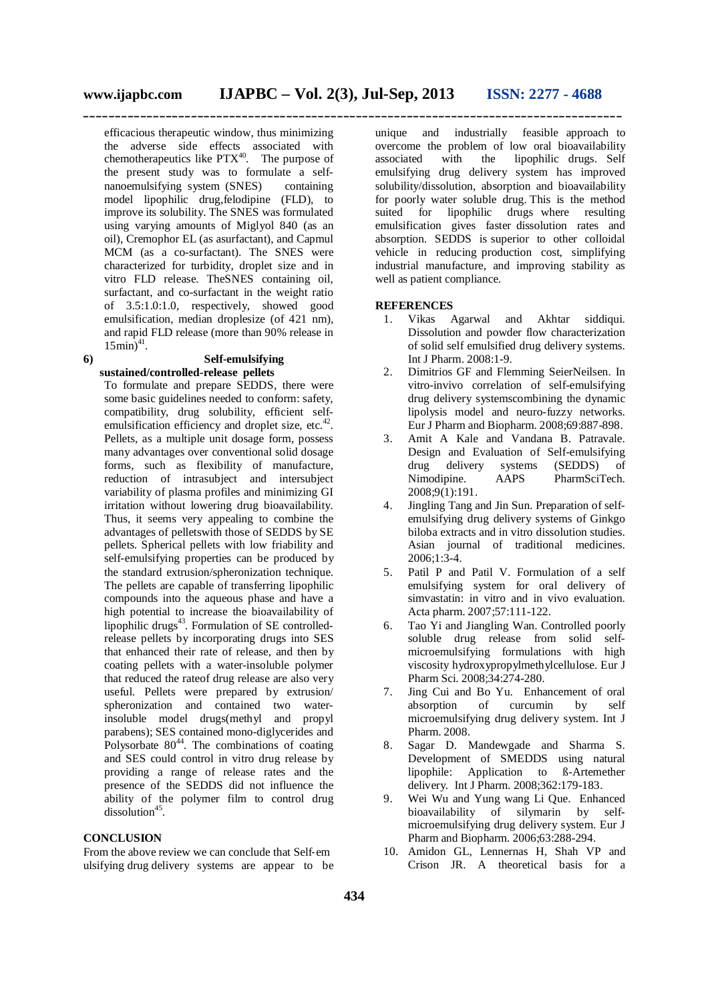efficacious therapeutic window, thus minimizing the adverse side effects associated with chemotherapeutics like  $PTX^{40}$ . The purpose of the present study was to formulate a selfnanoemulsifying system (SNES) containing model lipophilic drug,felodipine (FLD), to improve its solubility. The SNES was formulated using varying amounts of Miglyol 840 (as an oil), Cremophor EL (as asurfactant), and Capmul MCM (as a co-surfactant). The SNES were characterized for turbidity, droplet size and in vitro FLD release. TheSNES containing oil, surfactant, and co-surfactant in the weight ratio of 3.5:1.0:1.0, respectively, showed good emulsification, median droplesize (of 421 nm), and rapid FLD release (more than 90% release in  $15 \text{min}$ <sup>41</sup>.

#### **6) Self-emulsifying sustained/controlled-release pellets**

To formulate and prepare SEDDS, there were some basic guidelines needed to conform: safety, compatibility, drug solubility, efficient selfemulsification efficiency and droplet size, etc.<sup>42</sup>. Pellets, as a multiple unit dosage form, possess many advantages over conventional solid dosage forms, such as flexibility of manufacture, reduction of intrasubject and intersubject variability of plasma profiles and minimizing GI irritation without lowering drug bioavailability. Thus, it seems very appealing to combine the advantages of pelletswith those of SEDDS by SE pellets. Spherical pellets with low friability and self-emulsifying properties can be produced by the standard extrusion/spheronization technique. The pellets are capable of transferring lipophilic compounds into the aqueous phase and have a high potential to increase the bioavailability of lipophilic drugs<sup>43</sup>. Formulation of SE controlledrelease pellets by incorporating drugs into SES that enhanced their rate of release, and then by coating pellets with a water-insoluble polymer that reduced the rateof drug release are also very useful. Pellets were prepared by extrusion/ spheronization and contained two waterinsoluble model drugs(methyl and propyl parabens); SES contained mono-diglycerides and Polysorbate  $80^{44}$ . The combinations of coating and SES could control in vitro drug release by providing a range of release rates and the presence of the SEDDS did not influence the ability of the polymer film to control drug  $dissolution<sup>45</sup>$ .

#### **CONCLUSION**

From the above review we can conclude that Self‐em ulsifying drug delivery systems are appear to be unique and industrially feasible approach to overcome the problem of low oral bioavailability associated with the lipophilic drugs. Self emulsifying drug delivery system has improved solubility/dissolution, absorption and bioavailability for poorly water soluble drug. This is the method suited for lipophilic drugs where resulting emulsification gives faster dissolution rates and absorption. SEDDS is superior to other colloidal vehicle in reducing production cost, simplifying industrial manufacture, and improving stability as well as patient compliance.

#### **REFERENCES**

- 1. Vikas Agarwal and Akhtar siddiqui. Dissolution and powder flow characterization of solid self emulsified drug delivery systems. Int J Pharm. 2008:1-9.
- 2. Dimitrios GF and Flemming SeierNeilsen. In vitro-invivo correlation of self-emulsifying drug delivery systemscombining the dynamic lipolysis model and neuro-fuzzy networks. Eur J Pharm and Biopharm. 2008;69:887-898.
- 3. Amit A Kale and Vandana B. Patravale. Design and Evaluation of Self-emulsifying drug delivery systems (SEDDS) of<br>Nimodipine. AAPS PharmSciTech. PharmSciTech. 2008;9(1):191.
- 4. Jingling Tang and Jin Sun. Preparation of selfemulsifying drug delivery systems of Ginkgo biloba extracts and in vitro dissolution studies. Asian journal of traditional medicines. 2006;1:3-4.
- 5. Patil P and Patil V. Formulation of a self emulsifying system for oral delivery of simvastatin: in vitro and in vivo evaluation. Acta pharm. 2007;57:111-122.
- 6. Tao Yi and Jiangling Wan. Controlled poorly soluble drug release from solid selfmicroemulsifying formulations with high viscosity hydroxypropylmethylcellulose. Eur J Pharm Sci. 2008;34:274-280.
- 7. Jing Cui and Bo Yu. Enhancement of oral absorption of curcumin by self microemulsifying drug delivery system. Int J Pharm. 2008.
- 8. Sagar D. Mandewgade and Sharma S. Development of SMEDDS using natural lipophile: Application to ß-Artemether delivery. Int J Pharm. 2008;362:179-183.
- 9. Wei Wu and Yung wang Li Que. Enhanced bioavailability of silymarin by selfmicroemulsifying drug delivery system. Eur J Pharm and Biopharm. 2006;63:288-294.
- 10. Amidon GL, Lennernas H, Shah VP and Crison JR. A theoretical basis for a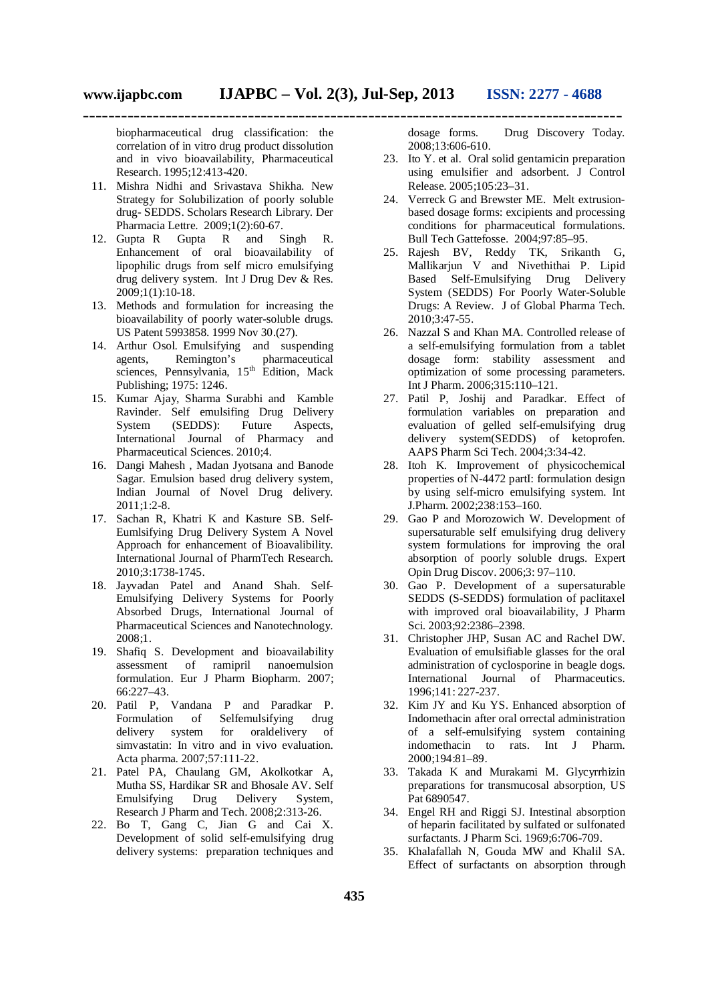biopharmaceutical drug classification: the correlation of in vitro drug product dissolution and in vivo bioavailability, Pharmaceutical Research. 1995;12:413-420.

- 11. Mishra Nidhi and Srivastava Shikha. New Strategy for Solubilization of poorly soluble drug- SEDDS. Scholars Research Library. Der Pharmacia Lettre. 2009;1(2):60-67.
- 12. Gupta R Gupta R and Singh R. Enhancement of oral bioavailability of lipophilic drugs from self micro emulsifying drug delivery system. Int J Drug Dev & Res. 2009;1(1):10-18.
- 13. Methods and formulation for increasing the bioavailability of poorly water-soluble drugs. US Patent 5993858. 1999 Nov 30.(27).
- 14. Arthur Osol. Emulsifying and suspending<br>agents, Remington's pharmaceutical agents, Remington's pharmaceutical sciences, Pennsylvania,  $15<sup>th</sup>$  Edition, Mack Publishing; 1975: 1246.
- 15. Kumar Ajay, Sharma Surabhi and Kamble Ravinder. Self emulsifing Drug Delivery<br>System (SEDDS): Future Aspects, (SEDDS): Future Aspects, International Journal of Pharmacy and Pharmaceutical Sciences. 2010;4.
- 16. Dangi Mahesh , Madan Jyotsana and Banode Sagar. Emulsion based drug delivery system, Indian Journal of Novel Drug delivery. 2011;1:2-8.
- 17. Sachan R, Khatri K and Kasture SB. Self-Eumlsifying Drug Delivery System A Novel Approach for enhancement of Bioavalibility. International Journal of PharmTech Research. 2010;3:1738-1745.
- 18. Jayvadan Patel and Anand Shah. Self-Emulsifying Delivery Systems for Poorly Absorbed Drugs, International Journal of Pharmaceutical Sciences and Nanotechnology. 2008;1.
- 19. Shafiq S. Development and bioavailability assessment of ramipril nanoemulsion formulation. Eur J Pharm Biopharm. 2007; 66:227–43.
- 20. Patil P, Vandana P and Paradkar P. Formulation of Selfemulsifying drug delivery system for oraldelivery of simvastatin: In vitro and in vivo evaluation. Acta pharma. 2007;57:111-22.
- 21. Patel PA, Chaulang GM, Akolkotkar A, Mutha SS, Hardikar SR and Bhosale AV. Self Emulsifying Drug Delivery System, Research J Pharm and Tech. 2008;2:313-26.
- 22. Bo T, Gang C, Jian G and Cai X. Development of solid self-emulsifying drug delivery systems: preparation techniques and

dosage forms. Drug Discovery Today. 2008;13:606-610.

- 23. Ito Y. et al. Oral solid gentamicin preparation using emulsifier and adsorbent. J Control Release. 2005;105:23–31.
- 24. Verreck G and Brewster ME. Melt extrusionbased dosage forms: excipients and processing conditions for pharmaceutical formulations. Bull Tech Gattefosse. 2004;97:85–95.
- 25. Rajesh BV, Reddy TK, Srikanth G, Mallikarjun V and Nivethithai P. Lipid Based Self-Emulsifying Drug Delivery System (SEDDS) For Poorly Water-Soluble Drugs: A Review. J of Global Pharma Tech. 2010;3:47-55.
- 26. Nazzal S and Khan MA. Controlled release of a self-emulsifying formulation from a tablet dosage form: stability assessment and optimization of some processing parameters. Int J Pharm. 2006;315:110–121.
- 27. Patil P, Joshij and Paradkar. Effect of formulation variables on preparation and evaluation of gelled self-emulsifying drug delivery system(SEDDS) of ketoprofen. AAPS Pharm Sci Tech. 2004;3:34-42.
- 28. Itoh K. Improvement of physicochemical properties of N-4472 partI: formulation design by using self-micro emulsifying system. Int J.Pharm. 2002;238:153–160.
- 29. Gao P and Morozowich W. Development of supersaturable self emulsifying drug delivery system formulations for improving the oral absorption of poorly soluble drugs. Expert Opin Drug Discov. 2006;3: 97–110.
- 30. Gao P. Development of a supersaturable SEDDS (S-SEDDS) formulation of paclitaxel with improved oral bioavailability, J Pharm Sci. 2003;92:2386–2398.
- 31. Christopher JHP, Susan AC and Rachel DW. Evaluation of emulsifiable glasses for the oral administration of cyclosporine in beagle dogs. International Journal of Pharmaceutics. 1996;141: 227-237.
- 32. Kim JY and Ku YS. Enhanced absorption of Indomethacin after oral orrectal administration of a self-emulsifying system containing indomethacin to rats. Int J Pharm. 2000;194:81–89.
- 33. Takada K and Murakami M. Glycyrrhizin preparations for transmucosal absorption, US Pat 6890547.
- 34. Engel RH and Riggi SJ. Intestinal absorption of heparin facilitated by sulfated or sulfonated surfactants. J Pharm Sci. 1969;6:706-709.
- 35. Khalafallah N, Gouda MW and Khalil SA. Effect of surfactants on absorption through